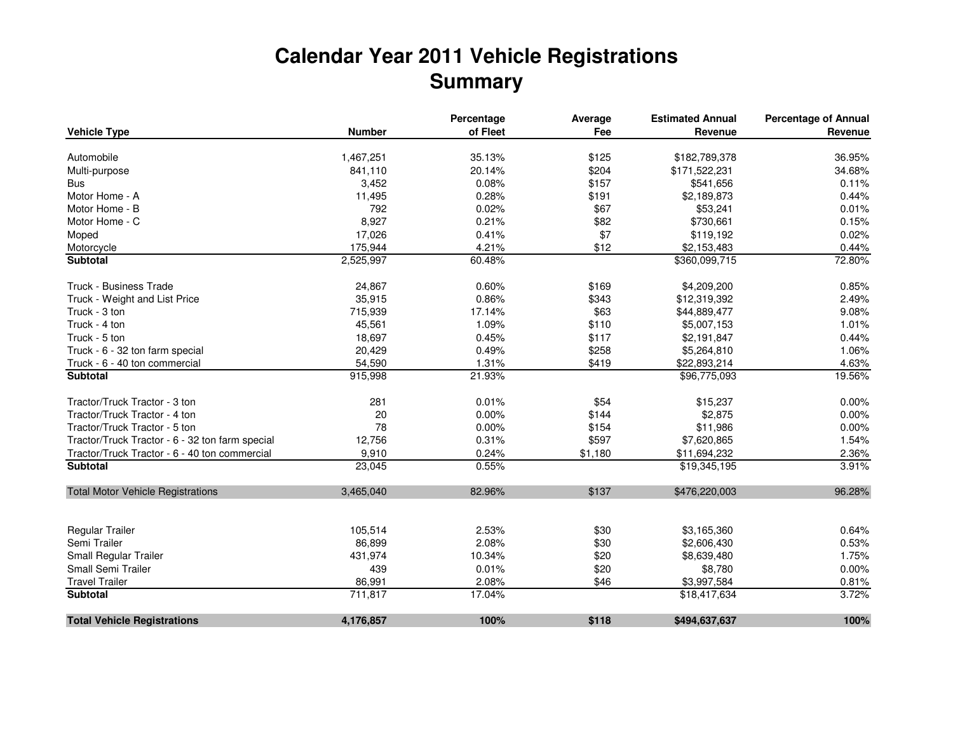## **Calendar Year 2011 Vehicle RegistrationsSummary**

|                                                 |               | Percentage | Average | <b>Estimated Annual</b> | <b>Percentage of Annual</b> |
|-------------------------------------------------|---------------|------------|---------|-------------------------|-----------------------------|
| <b>Vehicle Type</b>                             | <b>Number</b> | of Fleet   | Fee     | Revenue                 | Revenue                     |
| Automobile                                      | 1,467,251     | 35.13%     | \$125   | \$182,789,378           | 36.95%                      |
|                                                 | 841,110       | 20.14%     | \$204   | \$171,522,231           | 34.68%                      |
| Multi-purpose<br><b>Bus</b>                     |               | 0.08%      | \$157   |                         | 0.11%                       |
| Motor Home - A                                  | 3,452         |            |         | \$541,656               | 0.44%                       |
| Motor Home - B                                  | 11,495        | 0.28%      | \$191   | \$2,189,873             |                             |
|                                                 | 792           | 0.02%      | \$67    | \$53,241                | 0.01%                       |
| Motor Home - C                                  | 8,927         | 0.21%      | \$82    | \$730,661               | 0.15%                       |
| Moped                                           | 17,026        | 0.41%      | \$7     | \$119,192               | 0.02%                       |
| Motorcycle                                      | 175,944       | 4.21%      | \$12    | \$2,153,483             | 0.44%                       |
| Subtotal                                        | 2,525,997     | 60.48%     |         | \$360,099,715           | 72.80%                      |
| Truck - Business Trade                          | 24,867        | 0.60%      | \$169   | \$4,209,200             | 0.85%                       |
| Truck - Weight and List Price                   | 35,915        | 0.86%      | \$343   | \$12,319,392            | 2.49%                       |
| Truck - 3 ton                                   | 715,939       | 17.14%     | \$63    | \$44,889,477            | 9.08%                       |
| Truck - 4 ton                                   | 45,561        | 1.09%      | \$110   | \$5,007,153             | 1.01%                       |
| Truck - 5 ton                                   | 18,697        | 0.45%      | \$117   | \$2,191,847             | 0.44%                       |
| Truck - 6 - 32 ton farm special                 | 20,429        | 0.49%      | \$258   | \$5,264,810             | 1.06%                       |
| Truck - 6 - 40 ton commercial                   | 54,590        | 1.31%      | \$419   | \$22,893,214            | 4.63%                       |
| <b>Subtotal</b>                                 | 915,998       | 21.93%     |         | \$96,775,093            | 19.56%                      |
| Tractor/Truck Tractor - 3 ton                   | 281           | 0.01%      | \$54    | \$15,237                | 0.00%                       |
| Tractor/Truck Tractor - 4 ton                   | 20            | 0.00%      | \$144   | \$2,875                 | 0.00%                       |
| Tractor/Truck Tractor - 5 ton                   | 78            | 0.00%      | \$154   | \$11,986                | 0.00%                       |
| Tractor/Truck Tractor - 6 - 32 ton farm special | 12,756        | 0.31%      | \$597   | \$7,620,865             | 1.54%                       |
| Tractor/Truck Tractor - 6 - 40 ton commercial   | 9,910         | 0.24%      | \$1,180 | \$11,694,232            | 2.36%                       |
| <b>Subtotal</b>                                 | 23,045        | 0.55%      |         | \$19,345,195            | 3.91%                       |
|                                                 |               |            |         |                         |                             |
| <b>Total Motor Vehicle Registrations</b>        | 3,465,040     | 82.96%     | \$137   | \$476,220,003           | 96.28%                      |
|                                                 |               |            |         |                         |                             |
| Regular Trailer                                 | 105,514       | 2.53%      | \$30    | \$3,165,360             | 0.64%                       |
| Semi Trailer                                    | 86,899        | 2.08%      | \$30    | \$2,606,430             | 0.53%                       |
| Small Regular Trailer                           | 431,974       | 10.34%     | \$20    | \$8,639,480             | 1.75%                       |
| Small Semi Trailer                              | 439           | 0.01%      | \$20    | \$8,780                 | 0.00%                       |
| <b>Travel Trailer</b>                           | 86,991        | 2.08%      | \$46    | \$3,997,584             | 0.81%                       |
| <b>Subtotal</b>                                 | 711,817       | 17.04%     |         | \$18,417,634            | 3.72%                       |
| <b>Total Vehicle Registrations</b>              | 4,176,857     | 100%       | \$118   | \$494,637,637           | 100%                        |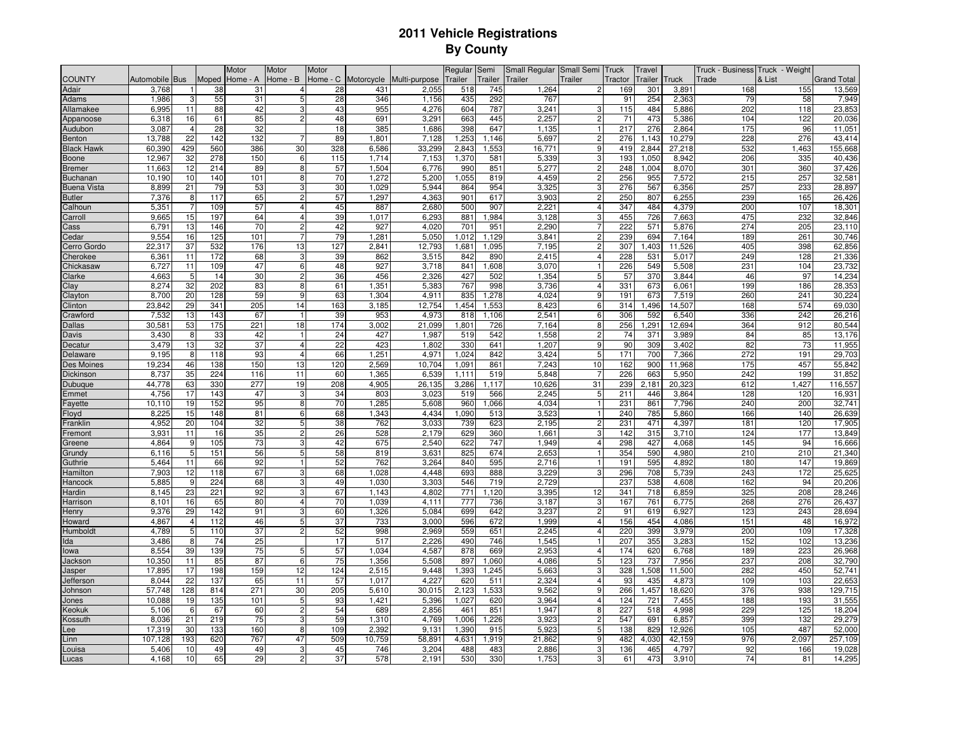## **2011 Vehicle RegistrationsBy County**

|                    |                   |                |       | Motor    | Motor          | Motor           |                     |               | Regular        | Semi    | Small Regular  | Small Semi     | Truck   | <b>Travel</b> |        | Truck - Business Truck - Weight |        |                    |
|--------------------|-------------------|----------------|-------|----------|----------------|-----------------|---------------------|---------------|----------------|---------|----------------|----------------|---------|---------------|--------|---------------------------------|--------|--------------------|
| <b>COUNTY</b>      | Automobile Bus    |                | Moped | Home - A | Home - B       |                 | Home - C Motorcycle | Multi-purpose | <b>Trailer</b> | Trailer | <b>Trailer</b> | Trailer        | Tractor | Trailer       | Fruck  | Frade                           | & List | <b>Grand Total</b> |
| Adair              | 3,768             |                | 38    | 31       | $\overline{4}$ | 28              | 431                 | 2,055         | 518            | 745     | 1,264          | $\overline{2}$ | 169     | 301           | 3,891  | 168                             | 155    | 13,569             |
| Adams              | 1.986             | 3              | 55    | 31       | 5              | 28              | 346                 | 1.156         | 435            | 292     | 767            |                | 91      | 254           | 2.363  | 79                              | 58     | 7,949              |
| Allamakee          | 6,995             | 11             | 88    | 42       | 3              | 43              | 955                 | 4,276         | 604            | 787     | 3,241          | 3              | 115     | 484           | 5,886  | 202                             | 118    | 23,853             |
| Appanoose          | 6,318             | 16             | 61    | 85       | $\overline{2}$ | 48              | 69 <sup>°</sup>     | 3,291         | 663            | 445     | 2,257          | $\overline{c}$ | 71      | 473           | 5,386  | 104                             | 122    | 20,036             |
| Audubon            | 3,087             | $\overline{4}$ | 28    | 32       |                | 18              | 385                 | 1,686         | 398            | 647     | 1,135          | $\mathbf{1}$   | 217     | 276           | 2,864  | 175                             | 96     | 11,051             |
| Benton             | 13,788            | 22             | 142   | 132      | $\overline{7}$ | 89              | $1,80^{\circ}$      | 7,128         | 1,253          | , 146   | 5,697          | $\overline{2}$ | 276     | 1.143         | 10,279 | 228                             | 276    | 43,414             |
| <b>Black Hawk</b>  | 60,390            | 429            | 560   | 386      | 30             | 328             | 6,586               | 33,299        | 2,843          | 1,553   | 16,771         | 9              | 419     | 2,844         | 27,218 | 532                             | 1,463  | 155,668            |
| <b>Boone</b>       | 12,967            | 32             | 278   | 150      | 6              | 115             | 1,714               | 7,153         | 1,370          | 581     | 5,339          | 3              | 193     | 1,050         | 8,942  | 206                             | 335    | 40,436             |
| Bremer             | 11,663            | 12             | 214   | 89       | 8              | 57              | 1,504               | 6,776         | 990            | 851     | 5,277          | $\overline{2}$ | 248     | 1.004         | 8,070  | 301                             | 360    | 37,426             |
| <b>Buchanar</b>    | 10.190            | 10             | 140   | 101      | 8              | 70              | 1.272               | 5,200         | 1.055          | 819     | 4,459          | $\overline{2}$ | 256     | 955           | 7,572  | 215                             | 257    | 32,581             |
| <b>Buena Vista</b> | 8,899             | 21             | 79    | 53       | 3              | 30              | 1,029               | 5,944         | 864            | 954     | 3,325          | 3              | 276     | 567           | 6,356  | 257                             | 233    | 28,897             |
| <b>Butler</b>      | 7,376             | 8              | 117   | 65       | $\overline{c}$ | 57              | 1,297               | 4,363         | 901            | 617     | 3,903          | $\overline{2}$ | 250     | 807           | 6,255  | 239                             | 165    | 26,426             |
| Calhoun            | 5,35              |                | 109   | 57       | 4              | 45              | 887                 | 2,680         | 500            | 907     | 2,221          | $\overline{4}$ | 347     | 484           | 4,379  | 200                             | 107    | 18,301             |
| Carroll            | 9,665             | 15             | 197   | 64       | 4              | 39              | 1.017               | 6,293         | 881            | .984    | 3,128          | 3              | 455     | 726           | 7,663  | 475                             | 232    | 32,846             |
| Cass               | 6,791             | 13             | 146   | 70       | $\overline{c}$ | 42              | 927                 | 4,020         | 701            | 951     | 2,290          | 7              | 222     | 571           | 5,876  | 274                             | 205    | 23,110             |
| Cedar              | 9,554             | 16             | 125   | 101      | $\overline{7}$ | 79              | 1,281               | 5,050         | 1,012          | 1,129   | 3,841          | $\overline{2}$ | 239     | 694           | 7,164  | 189                             | 261    | 30,746             |
| Cerro Gordo        | 22,317            | 37             | 532   | 176      | 13             | 127             | 2.841               | 12,793        | 1,681          | 1,095   | 7,195          | $\overline{2}$ | 307     | .403          | 11,526 | 405                             | 398    | 62,856             |
| Cherokee           | 6.36 <sup>°</sup> | 11             | 172   | 68       | 3              | 39              | 862                 | 3,515         | 842            | 890     | 2.415          | $\overline{4}$ | 228     | 531           | 5.017  | 249                             | 128    | 21,336             |
| Chickasaw          | 6,727             | 11             | 109   | 47       | 6              | 48              | 927                 | 3,718         | 841            | ,608    | 3,070          | $\mathbf{1}$   | 226     | 549           | 5,508  | 231                             | 104    | 23,732             |
| Clarke             | 4,663             | 5              | 14    | 30       | $\overline{2}$ | 36              | 456                 | 2,326         | 427            | 502     | 1,354          | 5              | 57      | 370           | 3,844  | 46                              | 97     | 14,234             |
| Clay               | 8,274             | 32             | 202   | 83       | 8              | 61              | 1,351               | 5,383         | 767            | 998     | 3,736          | 4              | 331     | 673           | 6,061  | 199                             | 186    | 28,353             |
| Clayton            | 8,700             | 20             | 128   | 59       | 9              | 63              | 1,304               | 4,911         | 835            | .278    | 4,024          | 9              | 191     | 673           | 7,519  | 260                             | 241    | 30,224             |
| Clinton            | 23,842            | 29             | 341   | 205      | 14             | 163             | 3,185               | 12,754        | 1,454          | 1,553   | 8,423          | 6              | 314     | ,496          | 14,507 | 168                             | 574    | 69,030             |
| Crawford           | 7,532             | 13             | 143   | 67       | $\mathbf{1}$   | 39              | 953                 | 4,973         | 818            | 1,106   | 2,541          | 6              | 306     | 592           | 6,540  | 336                             | 242    | 26,216             |
| Dallas             | 30,581            | 53             | 175   | 221      | 18             | 174             | 3,002               | 21.099        | 1,801          | 726     | 7.164          | 8              | 256     | ,291          | 12,694 | 364                             | 912    | 80,544             |
| Davis              | 3,430             | 8              | 33    | 42       | $\mathbf{1}$   | 24              | 427                 | 1.987         | 519            | 542     | 1.558          | $\overline{2}$ | 74      | 371           | 3,989  | 84                              | 85     | 13,176             |
| Decatur            | 3,479             | 13             | 32    | 37       | $\overline{4}$ | $\overline{22}$ | 423                 | 1,802         | 330            | 641     | 1,207          | 9              | 90      | 309           | 3,402  | 82                              | 73     | 11,955             |
| Delaware           | 9,195             | 8              | 118   | 93       | $\overline{4}$ | 66              | 1,251               | 4,971         | 1,024          | 842     | 3,424          | 5              | 171     | 700           | 7,366  | 272                             | 191    | 29,703             |
| Des Moines         | 19,234            | 46             | 138   | 150      | 13             | 120             | 2,569               | 10,704        | 1,091          | 861     | 7,243          | 10             | 162     | 900           | 11,968 | 175                             | 457    | 55,842             |
| Dickinson          | 8,737             | 35             | 224   | 116      | 11             | 60              | 1,365               | 6,539         | 1,111          | 519     | 5,848          |                | 226     | 663           | 5,950  | 242                             | 199    | 31,852             |
| Dubuque            | 44,778            | 63             | 330   | 277      | 19             | 208             | 4,905               | 26,135        | 3,286          | ,117    | 10,626         | 31             | 239     | 2,181         | 20,323 | 612                             | 1,427  | 116,557            |
| Emmet              | 4,756             | 17             | 143   | 47       | 3              | 34              | 803                 | 3,023         | 519            | 566     | 2,245          | 5              | 211     | 446           | 3,864  | 128                             | 120    | 16,931             |
| Fayette            | 10,110            | 19             | 152   | 95       | 8              | 70              | 1,285               | 5,608         | 960            | ,066    | 4,034          | $\mathbf{1}$   | 231     | 861           | 7,796  | 240                             | 200    | 32,741             |
| Floyd              | 8,225             | 15             | 148   | 81       | 6              | 68              | 1,343               | 4.434         | 1,090          | 513     | 3,523          | $\mathbf{1}$   | 240     | 785           | 5,860  | 166                             | 140    | 26,639             |
| Franklin           | 4,952             | 20             | 104   | 32       | 5              | 38              | 762                 | 3,033         | 739            | 623     | 2,195          | $\overline{2}$ | 231     | 471           | 4,397  | 181                             | 120    | 17,905             |
| Fremont            | 3,931             | 11             | 16    | 35       | <sub>2</sub>   | 26              | 528                 | 2,179         | 629            | 360     | 1,661          | 3              | 142     | 315           | 3,710  | 124                             | 177    | 13,849             |
| Greene             | 4,864             | 9              | 105   | 73       | 3              | 42              | 675                 | 2,540         | 622            | 747     | 1,949          | $\overline{4}$ | 298     | 427           | 4,068  | 145                             | 94     | 16,666             |
| Grundy             | 6,116             | 5              | 151   | 56       | 5              | 58              | 819                 | 3,631         | 825            | 674     | 2,653          | $\mathbf{1}$   | 354     | 590           | 4,980  | 210                             | 210    | 21,340             |
| Guthrie            | 5,464             | 11             | 66    | 92       | $\mathbf{1}$   | 52              | 762                 | 3,264         | 840            | 595     | 2,716          |                | 191     | 595           | 4,892  | 180                             | 147    | 19,869             |
| Hamiltor           | 7,903             | 12             | 118   | 67       | 3              | 68              | 1,028               | 4,448         | 693            | 888     | 3,229          | 3              | 296     | 708           | 5,739  | 243                             | 172    | 25,625             |
| Hancock            | 5,885             | 9              | 224   | 68       | 3              | 49              | 1,030               | 3,303         | 546            | 719     | 2,729          |                | 237     | 538           | 4,608  | 162                             | 94     | 20,206             |
| Hardin             | 8,145             | 23             | 221   | 92       | 3              | 67              | 1,143               | 4,802         | 771            | 1.120   | 3,395          | 12             | 341     | 718           | 6,859  | 325                             | 208    | 28,246             |
| Harrison           | 8.101             | 16             | 65    | 80       | 4              | 70              | 1.039               | 4.111         | 777            | 736     | 3.187          | 3              | 167     | 761           | 6.775  | 268                             | 276    | 26,437             |
| Henry              | 9,376             | 29             | 142   | 91       | 3              | 60              | 1,326               | 5,084         | 699            | 642     | 3,237          | $\overline{2}$ | 91      | 619           | 6,927  | 123                             | 243    | 28,694             |
| Ioward             | 4,867             | $\overline{4}$ | 112   | 46       | 5              | 37              | 733                 | 3,000         | 596            | 672     | 1,999          | $\overline{4}$ | 156     | 454           | 4,086  | 151                             | 48     | 16,972             |
| Humboldt           | 4,789             | 5              | 110   | 37       | $\overline{c}$ | 52              | 998                 | 2,969         | 559            | 651     | 2,245          | 4              | 220     | 399           | 3,979  | 200                             | 109    | 17,328             |
| Ida                | 3,486             | 8              | 74    | 25       |                | 17              | 517                 | 2,226         | 490            | 746     | 1,545          | $\mathbf{1}$   | 207     | 355           | 3,283  | 152                             | 102    | 13,236             |
| lowa               | 8,554             | 39             | 139   | 75       | 5              | 57              | 1,034               | 4,587         | 878            | 669     | 2,953          | $\overline{4}$ | 174     | 620           | 6,768  | 189                             | 223    | 26,968             |
| Jackson            | 10,350            | 11             | 85    | 87       | 6              | 75              | 1,356               | 5,508         | 897            | 1,060   | 4,086          | 5              | 123     | 737           | 7,956  | 237                             | 208    | 32,790             |
| Jasper             | 17.895            | 17             | 198   | 159      | 12             | 124             | 2,515               | 9.448         | 1,393          | 1,245   | 5,663          | 3              | 328     | 1.508         | 11,500 | 282                             | 450    | 52,741             |
| Jeffersor          | 8.044             | 22             | 137   | 65       | 11             | 57              | 1.017               | 4.227         | 620            | 511     | 2.324          | $\overline{4}$ | 93      | 435           | 4.873  | 109                             | 103    | 22,653             |
| Johnson            | 57,748            | 128            | 814   | 271      | 30             | 205             | 5,610               | 30,015        | 2,123          | .533    | 9,562          | $\overline{9}$ | 266     | ,457          | 18,620 | 376                             | 938    | 129,715            |
| Jones              | 10,088            | 19             | 135   | 101      | 5              | 93              | 1,421               | 5,396         | 1,027          | 620     | 3,964          | 4              | 124     | 721           | 7,455  | 188                             | 193    | 31,555             |
| Keokuk             | 5,106             | 6              | 67    | 60       | $\overline{c}$ | 54              | 689                 | 2,856         | 461            | 851     | 1,947          | 8              | 227     | 518           | 4,998  | 229                             | 125    | 18,204             |
| ossuth)            | 8,036             | 21             | 219   | 75       | 3              | 59              | 1,310               | 4,769         | 1,006          | ,226    | 3,923          | $\overline{c}$ | 547     | 691           | 6,857  | 399                             | 132    | 29,279             |
| .ee                | 17,319            | 30             | 133   | 160      | 8              | 109             | 2,392               | 9,131         | 1,390          | 915     | 5,923          | 5              | 138     | 829           | 12,926 | 105                             | 487    | 52,000             |
| .inn               | 107,128           | 193            | 620   | 767      | 47             | 509             | 10,759              | 58,891        | 4,631          | .919    | 21,862         | 9              | 482     | 4,030         | 42,159 | 976                             | 2,097  | 257,109            |
| ouisa.             | 5,406             | 10             | 49    | 49       | 3              | 45              | 746                 | 3,204         | 488            | 483     | 2,886          | 3              | 136     | 465           | 4,797  | 92                              | 166    | 19,028             |
| .ucas              | 4,168             | 10             | 65    | 29       | $\overline{2}$ | 37              | 578                 | 2,191         | 530            | 330     | 1,753          | 3              | 61      | 473           | 3,910  | 74                              | 81     | 14,295             |